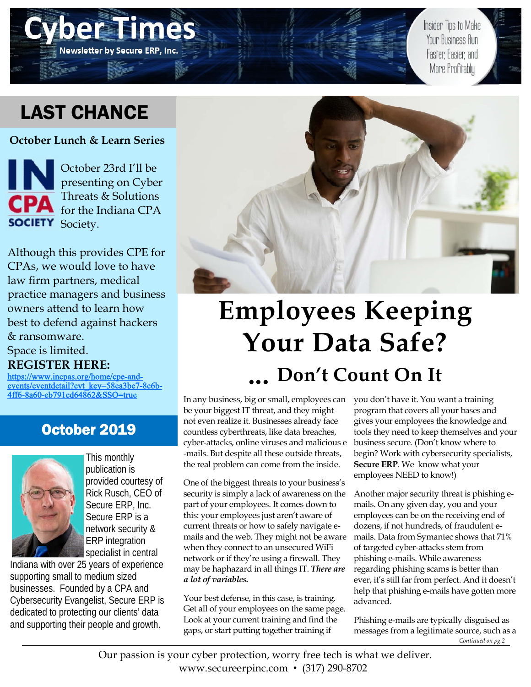# LAST CHANCE

**Newsletter by Secure ERP, Inc.** 

**October Lunch & Learn Series** 

October 23rd I'll be presenting on Cyber Threats & Solutions for the Indiana CPA **SOCIETY** Society.

Although this provides CPE for CPAs, we would love to have law firm partners, medical practice managers and business owners attend to learn how best to defend against hackers & ransomware. Space is limited.

**REGISTER HERE:** 

https://www.incpas.org/home/cpe-andevents/eventdetail?evt\_key=58ea3be7-8c6b-4ff6-8a60-eb791cd64862&SSO=true

### October 2019



This monthly publication is provided courtesy of Rick Rusch, CEO of Secure ERP, Inc. Secure ERP is a network security & ERP integration specialist in central

Indiana with over 25 years of experience supporting small to medium sized businesses. Founded by a CPA and Cybersecurity Evangelist, Secure ERP is dedicated to protecting our clients' data and supporting their people and growth.



# **Employees Keeping Your Data Safe? ... Don't Count On It**

In any business, big or small, employees can be your biggest IT threat, and they might not even realize it. Businesses already face countless cyberthreats, like data breaches, cyber-attacks, online viruses and malicious e -mails. But despite all these outside threats, the real problem can come from the inside.

One of the biggest threats to your business's security is simply a lack of awareness on the part of your employees. It comes down to this: your employees just aren't aware of current threats or how to safely navigate emails and the web. They might not be aware when they connect to an unsecured WiFi network or if they're using a firewall. They may be haphazard in all things IT. *There are a lot of variables.* 

Your best defense, in this case, is training. Get all of your employees on the same page. Look at your current training and find the gaps, or start putting together training if

you don't have it. You want a training program that covers all your bases and gives your employees the knowledge and tools they need to keep themselves and your business secure. (Don't know where to begin? Work with cybersecurity specialists, **Secure ERP**. We know what your employees NEED to know!)

Insider Tips to Make Your Business Run

Faster, Easier, and More Profitably

Another major security threat is phishing emails. On any given day, you and your employees can be on the receiving end of dozens, if not hundreds, of fraudulent emails. Data from Symantec shows that 71% of targeted cyber-attacks stem from phishing e-mails. While awareness regarding phishing scams is better than ever, it's still far from perfect. And it doesn't help that phishing e-mails have gotten more advanced.

Phishing e-mails are typically disguised as messages from a legitimate source, such as a *Continued on pg.2* 

Our passion is your cyber protection, worry free tech is what we deliver. www.secureerpinc.com • (317) 290-8702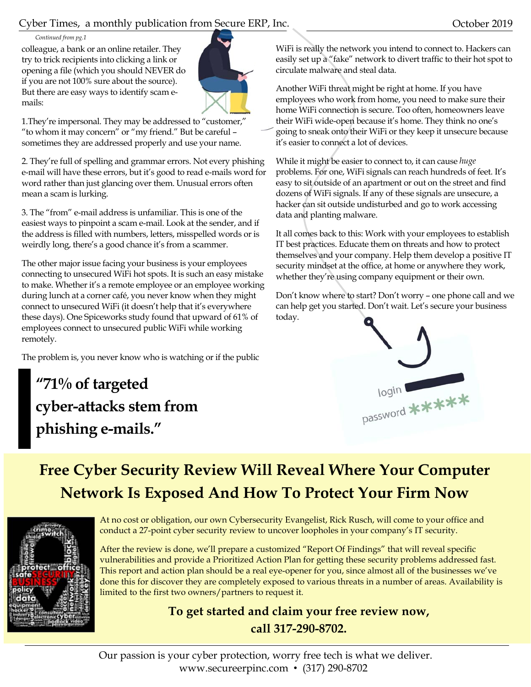#### Cyber Times, a monthly publication from Secure ERP, Inc. October 2019

#### *Continued from pg.1*

colleague, a bank or an online retailer. They try to trick recipients into clicking a link or opening a file (which you should NEVER do if you are not 100% sure about the source). But there are easy ways to identify scam emails:



1.They're impersonal. They may be addressed to "customer," "to whom it may concern" or "my friend." But be careful – sometimes they are addressed properly and use your name.

2. They're full of spelling and grammar errors. Not every phishing e-mail will have these errors, but it's good to read e-mails word for word rather than just glancing over them. Unusual errors often mean a scam is lurking.

3. The "from" e-mail address is unfamiliar. This is one of the easiest ways to pinpoint a scam e-mail. Look at the sender, and if the address is filled with numbers, letters, misspelled words or is weirdly long, there's a good chance it's from a scammer.

The other major issue facing your business is your employees connecting to unsecured WiFi hot spots. It is such an easy mistake to make. Whether it's a remote employee or an employee working during lunch at a corner café, you never know when they might connect to unsecured WiFi (it doesn't help that it's everywhere these days). One Spiceworks study found that upward of 61% of employees connect to unsecured public WiFi while working remotely.

The problem is, you never know who is watching or if the public

**"71% of targeted cyber-attacks stem from phishing e-mails."** 

WiFi is really the network you intend to connect to. Hackers can easily set up a "fake" network to divert traffic to their hot spot to circulate malware and steal data.

Another WiFi threat might be right at home. If you have employees who work from home, you need to make sure their home WiFi connection is secure. Too often, homeowners leave their WiFi wide-open because it's home. They think no one's going to sneak onto their WiFi or they keep it unsecure because it's easier to connect a lot of devices.

While it might be easier to connect to, it can cause *huge* problems. For one, WiFi signals can reach hundreds of feet. It's easy to sit outside of an apartment or out on the street and find dozens of WiFi signals. If any of these signals are unsecure, a hacker can sit outside undisturbed and go to work accessing data and planting malware.

It all comes back to this: Work with your employees to establish IT best practices. Educate them on threats and how to protect themselves and your company. Help them develop a positive IT security mindset at the office, at home or anywhere they work, whether they're using company equipment or their own.

Don't know where to start? Don't worry – one phone call and we can help get you started. Don't wait. Let's secure your business today.



## **Free Cyber Security Review Will Reveal Where Your Computer Network Is Exposed And How To Protect Your Firm Now**



At no cost or obligation, our own Cybersecurity Evangelist, Rick Rusch, will come to your office and conduct a 27-point cyber security review to uncover loopholes in your company's IT security.

After the review is done, we'll prepare a customized "Report Of Findings" that will reveal specific vulnerabilities and provide a Prioritized Action Plan for getting these security problems addressed fast. This report and action plan should be a real eye-opener for you, since almost all of the businesses we've done this for discover they are completely exposed to various threats in a number of areas. Availability is limited to the first two owners/partners to request it.

### **To get started and claim your free review now, call 317-290-8702.**

Our passion is your cyber protection, worry free tech is what we deliver. www.secureerpinc.com • (317) 290-8702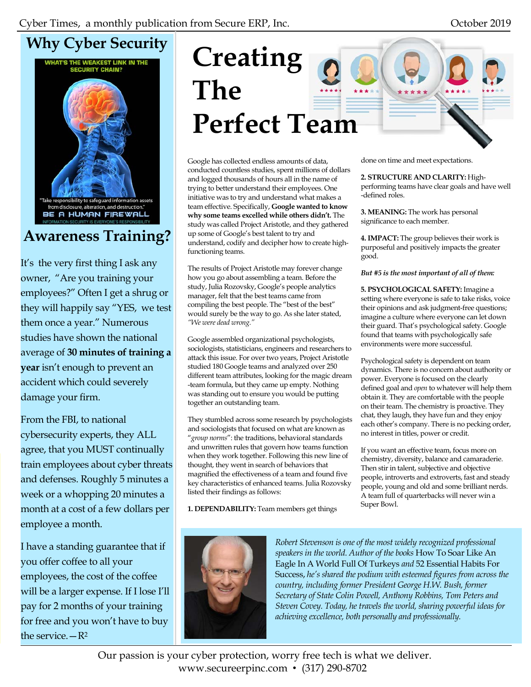# **Why Cyber Security**



## **Awareness Training?**

It's the very first thing I ask any owner, "Are you training your employees?" Often I get a shrug or they will happily say "YES, we test them once a year." Numerous studies have shown the national average of **30 minutes of training a year** isn't enough to prevent an accident which could severely damage your firm.

From the FBI, to national cybersecurity experts, they ALL agree, that you MUST continually train employees about cyber threats and defenses. Roughly 5 minutes a week or a whopping 20 minutes a month at a cost of a few dollars per employee a month.

I have a standing guarantee that if you offer coffee to all your employees, the cost of the coffee will be a larger expense. If I lose I'll pay for 2 months of your training for free and you won't have to buy the service. $-R^2$ 

# **Creating The Perfect Team**

Google has collected endless amounts of data, conducted countless studies, spent millions of dollars and logged thousands of hours all in the name of trying to better understand their employees. One initiative was to try and understand what makes a team effective. Specifically, **Google wanted to know why some teams excelled while others didn't.** The study was called Project Aristotle, and they gathered up some of Google's best talent to try and understand, codify and decipher how to create highfunctioning teams.

The results of Project Aristotle may forever change how you go about assembling a team. Before the study, Julia Rozovsky, Google's people analytics manager, felt that the best teams came from compiling the best people. The "best of the best" would surely be the way to go. As she later stated, *"We were dead wrong."*

Google assembled organizational psychologists, sociologists, statisticians, engineers and researchers to attack this issue. For over two years, Project Aristotle studied 180 Google teams and analyzed over 250 different team attributes, looking for the magic dream -team formula, but they came up empty. Nothing was standing out to ensure you would be putting together an outstanding team.

They stumbled across some research by psychologists and sociologists that focused on what are known as "*group norms*": the traditions, behavioral standards and unwritten rules that govern how teams function when they work together. Following this new line of thought, they went in search of behaviors that magnified the effectiveness of a team and found five key characteristics of enhanced teams. Julia Rozovsky listed their findings as follows:

**1. DEPENDABILITY:** Team members get things



#### **2. STRUCTURE AND CLARITY:** High-

performing teams have clear goals and have well -defined roles.

**3. MEANING:** The work has personal significance to each member.

**4. IMPACT:** The group believes their work is purposeful and positively impacts the greater good.

*But #5 is the most important of all of them:* 

**5. PSYCHOLOGICAL SAFETY:** Imagine a setting where everyone is safe to take risks, voice their opinions and ask judgment-free questions; imagine a culture where everyone can let down their guard. That's psychological safety. Google found that teams with psychologically safe environments were more successful.

Psychological safety is dependent on team dynamics. There is no concern about authority or power. Everyone is focused on the clearly defined goal and *open* to whatever will help them obtain it. They are comfortable with the people on their team. The chemistry is proactive. They chat, they laugh, they have fun and they enjoy each other's company. There is no pecking order, no interest in titles, power or credit.

If you want an effective team, focus more on chemistry, diversity, balance and camaraderie. Then stir in talent, subjective and objective people, introverts and extroverts, fast and steady people, young and old and some brilliant nerds. A team full of quarterbacks will never win a Super Bowl.



*Robert Stevenson is one of the most widely recognized professional speakers in the world. Author of the books* How To Soar Like An Eagle In A World Full Of Turkeys *and* 52 Essential Habits For Success, *he's shared the podium with esteemed figures from across the country, including former President George H.W. Bush, former Secretary of State Colin Powell, Anthony Robbins, Tom Peters and Steven Covey. Today, he travels the world, sharing powerful ideas for achieving excellence, both personally and professionally.*